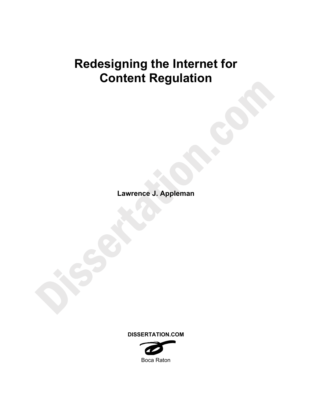# **Redesigning the Internet for Content Regulation**

**Lawrence J. Appleman** 

**DISSERTATION.COM** 

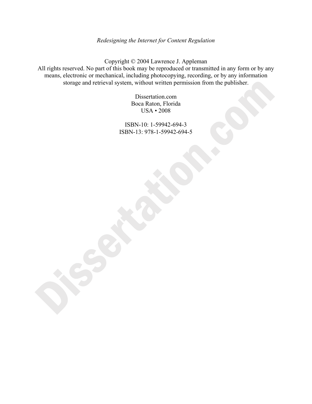# *Redesigning the Internet for Content Regulation*

Copyright © 2004 Lawrence J. Appleman All rights reserved. No part of this book may be reproduced or transmitted in any form or by any means, electronic or mechanical, including photocopying, recording, or by any information storage and retrieval system, without written permission from the publisher.

> Dissertation.com Boca Raton, Florida USA • 2008

ISBN-10: 1-59942-694-3 ISBN-13: 978-1-59942-694-5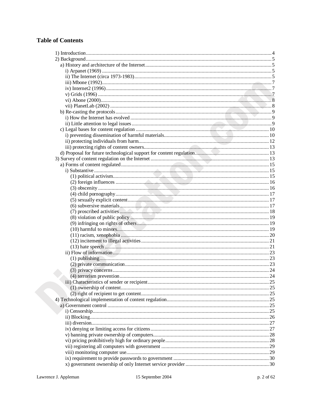# **Table of Contents**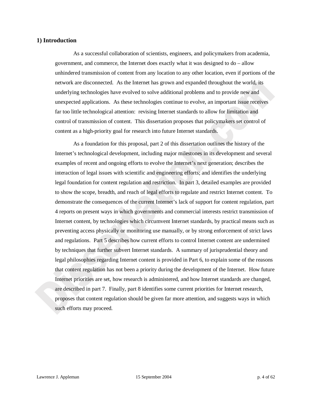# **1) Introduction**

As a successful collaboration of scientists, engineers, and policymakers from academia, government, and commerce, the Internet does exactly what it was designed to do – allow unhindered transmission of content from any location to any other location, even if portions of the network are disconnected. As the Internet has grown and expanded throughout the world, its underlying technologies have evolved to solve additional problems and to provide new and unexpected applications. As these technologies continue to evolve, an important issue receives far too little technological attention: revising Internet standards to allow for limitation and control of transmission of content. This dissertation proposes that policymakers set control of content as a high-priority goal for research into future Internet standards.

As a foundation for this proposal, part 2 of this dissertation outlines the history of the Internet's technological development, including major milestones in its development and several examples of recent and ongoing efforts to evolve the Internet's next generation; describes the interaction of legal issues with scientific and engineering efforts; and identifies the underlying legal foundation for content regulation and restriction. In part 3, detailed examples are provided to show the scope, breadth, and reach of legal efforts to regulate and restrict Internet content. To demonstrate the consequences of the current Internet's lack of support for content regulation, part 4 reports on present ways in which governments and commercial interests restrict transmission of Internet content, by technologies which circumvent Internet standards, by practical means such as preventing access physically or monitoring use manually, or by strong enforcement of strict laws and regulations. Part 5 describes how current efforts to control Internet content are undermined by techniques that further subvert Internet standards. A summary of jurisprudential theory and legal philosophies regarding Internet content is provided in Part 6, to explain some of the reasons that content regulation has not been a priority during the development of the Internet. How future Internet priorities are set, how research is administered, and how Internet standards are changed, are described in part 7. Finally, part 8 identifies some current priorities for Internet research, proposes that content regulation should be given far more attention, and suggests ways in which such efforts may proceed.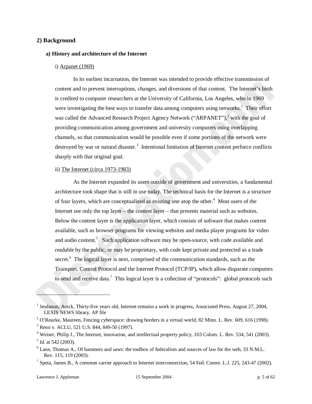# **2) Background**

#### **a) History and architecture of the Internet**

#### i) Arpanet (1969)

In its earliest incarnation, the Internet was intended to provide effective transmission of content and to prevent interruptions, changes, and diversions of that content. The Internet's birth is credited to computer researchers at the University of California, Los Angeles, who in 1969 were investigating the best ways to transfer data among computers using networks.<sup>1</sup> Their effort was called the Advanced Research Project Agency Network ("ARPANET"), $^2$  with the goal of providing communication among government and university computers using overlapping channels, so that communication would be possible even if some portions of the network were destroyed by war or natural disaster.<sup>3</sup> Intentional limitation of Internet content perforce conflicts sharply with that original goal.

#### ii) The Internet (circa 1973-1983)

As the Internet expanded its users outside of government and universities, a fundamental architecture took shape that is still in use today. The technical basis for the Internet is a structure of four layers, which are conceptualized as existing one atop the other.<sup>4</sup> Most users of the Internet see only the top layer – the content layer – that presents material such as websites. Below the content layer is the application layer, which consists of software that makes content available, such as browser programs for viewing websites and media player programs for video and audio content.<sup>5</sup> Such application software may be open-source, with code available and readable by the public, or may be proprietary, with code kept private and protected as a trade secret.<sup>6</sup> The logical layer is next, comprised of the communication standards, such as the Transport, Control Protocol and the Internet Protocol (TCP/IP), which allow disparate computers to send and receive data.<sup>7</sup> This logical layer is a collection of "protocols": global protocols such

l

<sup>&</sup>lt;sup>1</sup> Jesdanun, Anick, Thirty-five years old, Internet remains a work in progress, Associated Press, August 27, 2004, LEXIS NEWS library, AP file

<sup>&</sup>lt;sup>2</sup> O'Rourke, Maureen, Fencing cyberspace: drawing borders in a virtual world, 82 Minn. L. Rev. 609, 616 (1998).

<sup>&</sup>lt;sup>3</sup> Reno v. ACLU, 521 U.S. 844, 849-50 (1997).

<sup>&</sup>lt;sup>4</sup> Weiser, Philip J., The Internet, innovation, and intellectual property policy, 103 Colum. L. Rev. 534, 541 (2003).  $<sup>5</sup>$  *Id.* at 542 (2003).</sup>

Lane, Thomas A., Of hammers and saws: the toolbox of federalism and sources of law for the web, 33 N.M.L. Rev. 115, 119 (2003). 7

 $^7$  Speta, James B., A common carrier approach to Internet interconnection, 54 Fed. Comm. L.J. 225, 243-47 (2002).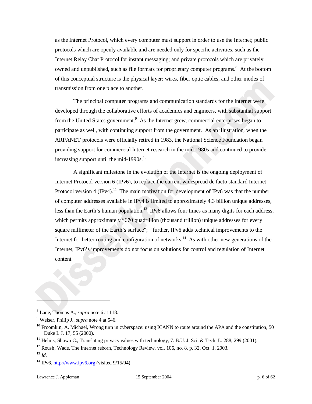as the Internet Protocol, which every computer must support in order to use the Internet; public protocols which are openly available and are needed only for specific activities, such as the Internet Relay Chat Protocol for instant messaging; and private protocols which are privately owned and unpublished, such as file formats for proprietary computer programs.<sup>8</sup> At the bottom of this conceptual structure is the physical layer: wires, fiber optic cables, and other modes of transmission from one place to another.

The principal computer programs and communication standards for the Internet were developed through the collaborative efforts of academics and engineers, with substantial support from the United States government.<sup>9</sup> As the Internet grew, commercial enterprises began to participate as well, with continuing support from the government. As an illustration, when the ARPANET protocols were officially retired in 1983, the National Science Foundation began providing support for commercial Internet research in the mid-1980s and continued to provide increasing support until the mid-1990s. $^{10}$ 

A significant milestone in the evolution of the Internet is the ongoing deployment of Internet Protocol version 6 (IPv6), to replace the current widespread de facto standard Internet Protocol version 4 (IPv4).<sup>11</sup> The main motivation for development of IPv6 was that the number of computer addresses available in IPv4 is limited to approximately 4.3 billion unique addresses, less than the Earth's human population.<sup>12</sup> IPv6 allows four times as many digits for each address, which permits approximately "670 quadrillion (thousand trillion) unique addresses for every square millimeter of the Earth's surface"; $^{13}$  further, IPv6 adds technical improvements to the Internet for better routing and configuration of networks.<sup>14</sup> As with other new generations of the Internet, IPv6's improvements do not focus on solutions for control and regulation of Internet content.

<sup>8</sup> Lane, Thomas A., *supra* note 6 at 118.

 $9$  Weiser, Philip J., *supra* note 4 at 546.

<sup>&</sup>lt;sup>10</sup> Froomkin, A. Michael, Wrong turn in cyberspace: using ICANN to route around the APA and the constitution, 50 Duke L.J. 17, 55 (2000).<br><sup>11</sup> Helms, Shawn C., Translating privacy values with technology, 7. B.U. J. Sci. & Tech. L. 288, 299 (2001).

<sup>&</sup>lt;sup>12</sup> Roush, Wade, The Internet reborn, Technology Review, vol. 106, no. 8, p. 32, Oct. 1, 2003.

<sup>13</sup> *Id.*

 $14$  IPv6, http://www.ipv6.org (visited 9/15/04).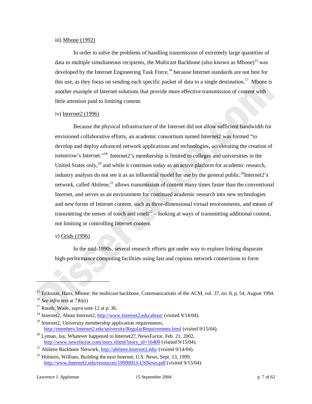#### iii) Mbone (1992)

In order to solve the problems of handling transmission of extremely large quantities of data to multiple simultaneous recipients, the Multicast Backbone (also known as Mbone)<sup>15</sup> was developed by the Internet Engineering Task Force, <sup>16</sup> because Internet standards are not best for this use, as they focus on sending each specific packet of data to a single destination.<sup>17</sup> Mbone is another example of Internet solutions that provide more effective transmission of content with little attention paid to limiting content.

# iv) Internet2 (1996)

Because the physical infrastructure of the Internet did not allow sufficient bandwidth for envisioned collaborative efforts, an academic consortium named Internet2 was formed "to develop and deploy advanced network applications and technologies, accelerating the creation of tomorrow's Internet."<sup>18</sup> Internet2's membership is limited to colleges and universities in the United States only,<sup>19</sup> and while it continues today as an active platform for academic research, industry analysts do not see it as an influential model for use by the general public.<sup>20</sup>Internet2's network, called Abilene, $^{21}$  allows transmission of content many times faster than the conventional Internet, and serves as an environment for continued academic research into new technologies and new forms of Internet content, such as three-dimensional virtual environments, and means of transmitting the senses of touch and smell<sup>22</sup> – looking at ways of transmitting additional content, not limiting or controlling Internet content.

# v) Grids (1996)

In the mid-1990s, several research efforts got under way to explore linking disparate high-performance computing facilities using fast and copious network connections to form

<sup>19</sup> Internet2, University membership application requirements,<br>http://members.Internet2.edu/university/RegularRequirements.html (visited  $9/15/04$ ).

<sup>&</sup>lt;sup>15</sup> Eriksson, Hans, Mbone: the multicast backbone, Communications of the ACM, vol. 37, no. 8, p. 54, August 1994. <sup>16</sup> *See infra* text at 7)b)ii)<br><sup>17</sup> Roush, Wade, *supra* note 12 at p. 36.<br><sup>18</sup> Internet2, About Internet2, http://www.Internet2.edu/about/ (visited 9/14/04).

 $10^{20}$  Lyman, Jay, Whatever happened to Internet2?, NewsFactor, Feb. 21, 2002, http://www.newsfactor.com/story.xhtml?story\_id=16409 (visited 9/15/04).<br><sup>21</sup> Abilene Backbone Network, http://abilene.Internet2.edu/ (visited 9/14/04).

 $^{22}$  Holstein, William, Building the next Internet, U.S. News, Sept. 13, 1999, http://www.Internet2.edu/resources/19990913-USNews.pdf (visited 9/15/04).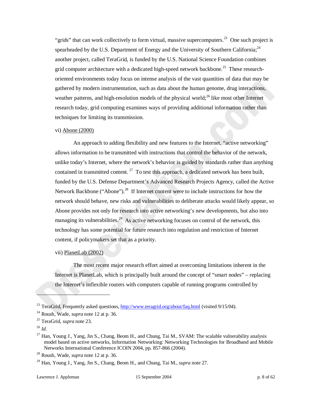"grids" that can work collectively to form virtual, massive supercomputers.<sup>23</sup> One such project is spearheaded by the U.S. Department of Energy and the University of Southern California;<sup>24</sup> another project, called TeraGrid, is funded by the U.S. National Science Foundation combines grid computer architecture with a dedicated high-speed network backbone.<sup>25</sup> These researchoriented environments today focus on intense analysis of the vast quantities of data that may be gathered by modern instrumentation, such as data about the human genome, drug interactions, weather patterns, and high-resolution models of the physical world;<sup>26</sup> like most other Internet research today, grid computing examines ways of providing additional information rather than techniques for limiting its transmission.

#### vi) Abone (2000)

An approach to adding flexibility and new features to the Internet, "active networking" allows information to be transmitted with instructions that control the behavior of the network, unlike today's Internet, where the network's behavior is guided by standards rather than anything contained in transmitted content.  $^{27}$  To test this approach, a dedicated network has been built, funded by the U.S. Defense Department's Advanced Research Projects Agency, called the Active Network Backbone ("Abone").<sup>28</sup> If Internet content were to include instructions for how the network should behave, new risks and vulnerabilities to deliberate attacks would likely appear, so Abone provides not only for research into active networking's new developments, but also into managing its vulnerabilities.<sup>29</sup> As active networking focuses on control of the network, this technology has some potential for future research into regulation and restriction of Internet content, if policymakers set that as a priority.

# vii) PlanetLab (2002)

The most recent major research effort aimed at overcoming limitations inherent in the Internet is PlanetLab, which is principally built around the concept of "smart nodes" – replacing the Internet's inflexible routers with computers capable of running programs controlled by

<sup>&</sup>lt;sup>23</sup> TeraGrid, Frequently asked questions, http://www.teragrid.org/about/faq.html (visited 9/15/04).

<sup>24</sup> Roush, Wade, *supra* note 12 at p. 36. 25 TeraGrid, *supra* note 23.

<sup>26</sup> *Id.*

 $^{27}$  Han, Young J., Yang, Jin S., Chang, Beom H., and Chung, Tai M., SVAM: The scalable vulnerability analysis model based on active networks, Information Networking: Networking Technologies for Broadband and Mobile Networks International Conference ICOIN 2004, pp. 857-866 (2004). 28 Roush, Wade, *supra* note 12 at p. 36.

<sup>29</sup> Han, Young J., Yang, Jin S., Chang, Beom H., and Chung, Tai M., *supra* note 27.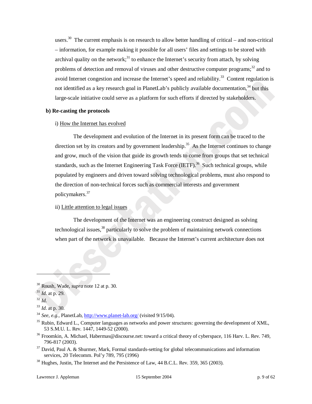users.<sup>30</sup> The current emphasis is on research to allow better handling of critical – and non-critical – information, for example making it possible for all users' files and settings to be stored with archival quality on the network;<sup>31</sup> to enhance the Internet's security from attach, by solving problems of detection and removal of viruses and other destructive computer programs; $32$  and to avoid Internet congestion and increase the Internet's speed and reliability.<sup>33</sup> Content regulation is not identified as a key research goal in PlanetLab's publicly available documentation.<sup>34</sup> but this large-scale initiative could serve as a platform for such efforts if directed by stakeholders.

# **b) Re-casting the protocols**

#### i) How the Internet has evolved

The development and evolution of the Internet in its present form can be traced to the direction set by its creators and by government leadership.<sup>35</sup> As the Internet continues to change and grow, much of the vision that guide its growth tends to come from groups that set technical standards, such as the Internet Engineering Task Force  $(ETF)$ <sup>36</sup> Such technical groups, while populated by engineers and driven toward solving technological problems, must also respond to the direction of non-technical forces such as commercial interests and government policymakers.<sup>37</sup>

# ii) Little attention to legal issues

The development of the Internet was an engineering construct designed as solving technological issues,<sup>38</sup> particularly to solve the problem of maintaining network connections when part of the network is unavailable. Because the Internet's current architecture does not

<sup>30</sup> Roush, Wade, *supra* note 12 at p. 30. 31 *Id.* at p. 29. 32 *Id.*

<sup>33</sup> *Id.* at p. 30. 34 *See, e.g.,* PlanetLab, http://www.planet-lab.org/ (visited 9/15/04).

 $35$  Rubin, Edward L., Computer languages as networks and power structures: governing the development of XML, 53 S.M.U. L. Rev. 1447, 1449-52 (2000).

 $36$  Froomkin, A. Michael, Habermas@discourse.net: toward a critical theory of cyberspace, 116 Harv. L. Rev. 749,

<sup>796-817 (2003).&</sup>lt;br><sup>37</sup> David, Paul A. & Shurmer, Mark, Formal standards-setting for global telecommunications and information services, 20 Telecomm. Pol'y 789, 795 (1996)

 $38$  Hughes, Justin, The Internet and the Persistence of Law, 44 B.C.L. Rev. 359, 365 (2003).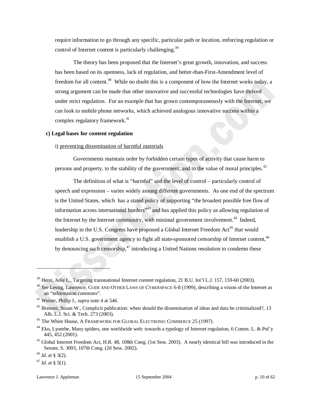require information to go through any specific, particular path or location, enforcing regulation or control of Internet content is particularly challenging.<sup>39</sup>

The theory has been proposed that the Internet's great growth, innovation, and success has been based on its openness, lack of regulation, and better-than-First-Amendment level of freedom for all content.<sup>40</sup> While no doubt this is a component of how the Internet works today, a strong argument can be made that other innovative and successful technologies have thrived under strict regulation. For an example that has grown contemporaneously with the Internet, we can look to mobile phone networks, which achieved analogous innovative success within a complex regulatory framework.<sup>41</sup>

#### **c) Legal bases for content regulation**

#### i) preventing dissemination of harmful materials

Governments maintain order by forbidden certain types of activity that cause harm to persons and property, to the stability of the government, and to the value of moral principles.<sup>42</sup>

The definition of what is "harmful" and the level of control – particularly control of speech and expression – varies widely among different governments. As one end of the spectrum is the United States, which has a stated policy of supporting "the broadest possible free flow of information across international borders<sup>"43</sup> and has applied this policy as allowing regulation of the Internet by the Internet community, with minimal government involvement.<sup>44</sup> Indeed, leadership in the U.S. Congress have proposed a Global Internet Freedom Act<sup>45</sup> that would establish a U.S. government agency to fight all state-sponsored censorship of Internet content,<sup>46</sup> by denouncing such censorship, $^{47}$  introducing a United Nations resolution to condemn these

<sup>&</sup>lt;sup>39</sup> Henn, Julie L., Targeting transnational Internet content regulation, 21 B.U. Int'l L.J. 157, 159-60 (2003).

<sup>40</sup> *See* Lessig, Lawrence, CODE AND OTHER LAWS OF CYBERSPACE 6-8 (1999), describing a vision of the Internet as an "information commons".<br><sup>41</sup> Weiser, Philip J., *supra* note 4 at 546.<br><sup>42</sup> Brenner, Susan W., Complicit publication: when should the dissemination of ideas and data be criminalized?, 13

Alb. L.J. Sci. & Tech. 273 (2003).<br><sup>43</sup> The White House, A FRAMEWORK FOR GLOBAL ELECTRONIC COMMERCE 25 (1997).

<sup>&</sup>lt;sup>44</sup> Eko, Lyombe, Many spiders, one worldwide web: towards a typology of Internet regulation, 6 Comm. L. & Pol'y 445, 452 (2001).

<sup>&</sup>lt;sup>45</sup> Global Internet Freedom Act, H.R. 48, 108th Cong. (1st Sess. 2003). A nearly identical bill was introduced in the Senate, S. 3093, 107th Cong. (2d Sess. 2002).<br><sup>46</sup> *Id.* at § 3(2).<br><sup>47</sup> *Id.* at § 5(1).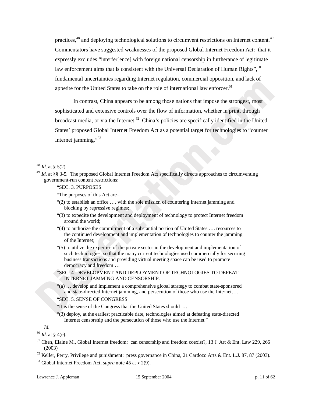practices,<sup>48</sup> and deploying technological solutions to circumvent restrictions on Internet content.<sup>49</sup> Commentators have suggested weaknesses of the proposed Global Internet Freedom Act: that it expressly excludes "interfer[ence] with foreign national censorship in furtherance of legitimate law enforcement aims that is consistent with the Universal Declaration of Human Rights",  $50$ fundamental uncertainties regarding Internet regulation, commercial opposition, and lack of appetite for the United States to take on the role of international law enforcer.<sup>51</sup>

In contrast, China appears to be among those nations that impose the strongest, most sophisticated and extensive controls over the flow of information, whether in print, through broadcast media, or via the Internet.<sup>52</sup> China's policies are specifically identified in the United States' proposed Global Internet Freedom Act as a potential target for technologies to "counter Internet jamming."<sup>53</sup>

-

"SEC. 3. PURPOSES

"The purposes of this Act are–

- "(2) to establish an office …. with the sole mission of countering Internet jamming and blocking by repressive regimes;
- "(3) to expedite the development and deployment of technology to protect Internet freedom around the world;
- "(4) to authorize the commitment of a substantial portion of United States …. resources to the continued development and implementation of technologies to counter the jamming of the Internet;
- "(5) to utilize the expertise of the private sector in the development and implementation of such technologies, so that the many current technologies used commercially for securing business transactions and providing virtual meeting space can be used to promote democracy and freedom …
- "SEC. 4. DEVELOPMENT AND DEPLOYMENT OF TECHNOLOGIES TO DEFEAT INTERNET JAMMING AND CENSORSHIP.
- "(a) … develop and implement a comprehensive global strategy to combat state-sponsored and state-directed Internet jamming, and persecution of those who use the Internet….

#### "SEC. 5. SENSE OF CONGRESS

- "It is the sense of the Congress that the United States should–…
- "(3) deploy, at the earliest practicable date, technologies aimed at defeating state-directed Internet censorship and the persecution of those who use the Internet."

*Id.* 

<sup>50</sup> *Id.* at § 4(e).

- 51 Chen, Elaine M., Global Internet freedom: can censorship and freedom coexist?, 13 J. Art & Ent. Law 229, 266 (2003)<br><sup>52</sup> Keller, Perry, Privilege and punishment: press governance in China, 21 Cardozo Arts & Ent. L.J. 87, 87 (2003).
- 

53 Global Internet Freedom Act, *supra* note 45 at § 2(9).

 $48$  *Id.* at § 5(2).

<sup>&</sup>lt;sup>49</sup> *Id.* at §§ 3-5. The proposed Global Internet Freedom Act specifically directs approaches to circumventing government-run content restrictions: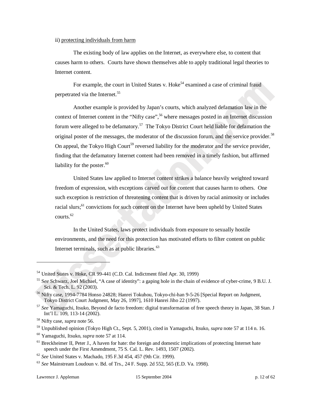#### ii) protecting individuals from harm

The existing body of law applies on the Internet, as everywhere else, to content that causes harm to others. Courts have shown themselves able to apply traditional legal theories to Internet content.

For example, the court in United States v. Hoke<sup>54</sup> examined a case of criminal fraud perpetrated via the Internet.<sup>55</sup>

Another example is provided by Japan's courts, which analyzed defamation law in the context of Internet content in the "Nifty case",<sup>56</sup> where messages posted in an Internet discussion forum were alleged to be defamatory.<sup>57</sup> The Tokyo District Court held liable for defamation the original poster of the messages, the moderator of the discussion forum, and the service provider.<sup>58</sup> On appeal, the Tokyo High Court<sup>59</sup> reversed liability for the moderator and the service provider, finding that the defamatory Internet content had been removed in a timely fashion, but affirmed liability for the poster. $60$ 

United States law applied to Internet content strikes a balance heavily weighted toward freedom of expression, with exceptions carved out for content that causes harm to others. One such exception is restriction of threatening content that is driven by racial animosity or includes racial slurs;<sup>61</sup> convictions for such content on the Internet have been upheld by United States courts.<sup>62</sup>

In the United States, laws protect individuals from exposure to sexually hostile environments, and the need for this protection has motivated efforts to filter content on public Internet terminals, such as at public libraries. $63$ 

 $\overline{a}$ 

<sup>54</sup> United States v. Hoke, CR 99-441 (C.D. Cal. Indictment filed Apr. 30, 1999)

<sup>55</sup> S*ee* Schwarz, Joel Michael, "A case of identity": a gaping hole in the chain of evidence of cyber-crime, 9 B.U. J.

Sci. & Tech. L. 92 (2003).<br>
<sup>56</sup> Nifty case, 1994-7784 Honso 24828; Hanrei Tokuhou, Tokyo-chi-han 9-5-26 [Special Report on Judgment, Tokyo District Court Judgment, May 26, 1997], 1610 Hanrei Jiho 22 (1997).

<sup>&</sup>lt;sup>57</sup> See Yamaguchi, Itsuko, Beyond de facto freedom: digital transformation of free speech theory in Japan, 38 Stan. J Int'l L. 109, 113-14 (2002). 58 Nifty case, *supra* note 56.

<sup>&</sup>lt;sup>59</sup> Unpublished opinion (Tokyo High Ct., Sept. 5, 2001), cited in Yamaguchi, Itsuko, *supra* note 57 at 114 n. 16.<br><sup>60</sup> Yamaguchi, Itsuko, *supra* note 57 at 114.<br><sup>61</sup> Breckheimer II. Peter J.. A haven for hate: the fore

speech under the First Amendment, 75 S. Cal. L. Rev. 1493, 1507 (2002).<br>
<sup>62</sup> See United States v. Machado, 195 F.3d 454, 457 (9th Cir. 1999).<br>
<sup>63</sup> See Mainstream Loudoun v. Bd. of Trs., 24 F. Supp. 2d 552, 565 (E.D. Va.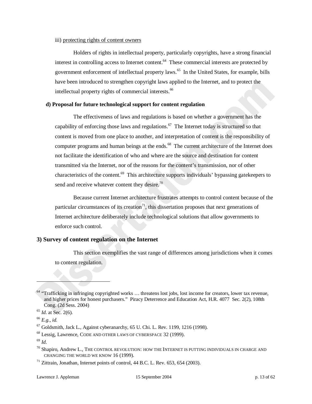#### iii) protecting rights of content owners

Holders of rights in intellectual property, particularly copyrights, have a strong financial interest in controlling access to Internet content.<sup>64</sup> These commercial interests are protected by government enforcement of intellectual property laws.<sup>65</sup> In the United States, for example, bills have been introduced to strengthen copyright laws applied to the Internet, and to protect the intellectual property rights of commercial interests.<sup>66</sup>

#### **d) Proposal for future technological support for content regulation**

The effectiveness of laws and regulations is based on whether a government has the capability of enforcing those laws and regulations.<sup>67</sup> The Internet today is structured so that content is moved from one place to another, and interpretation of content is the responsibility of computer programs and human beings at the ends.<sup>68</sup> The current architecture of the Internet does not facilitate the identification of who and where are the source and destination for content transmitted via the Internet, nor of the reasons for the content's transmission, nor of other characteristics of the content.<sup>69</sup> This architecture supports individuals' bypassing gatekeepers to send and receive whatever content they desire. $70$ 

Because current Internet architecture frustrates attempts to control content because of the particular circumstances of its creation<sup>71</sup>, this dissertation proposes that next generations of Internet architecture deliberately include technological solutions that allow governments to enforce such control.

# **3) Survey of content regulation on the Internet**

This section exemplifies the vast range of differences among jurisdictions when it comes to content regulation.

 $64$  "Trafficking in infringing copyrighted works  $\dots$  threatens lost jobs, lost income for creators, lower tax revenue, and higher prices for honest purchasers." Piracy Deterrence and Education Act, H.R. 4077 Sec. 2(2), 108th Cong. (2d Sess. 2004) 65 *Id.* at Sec. 2(6).

<sup>66</sup> *E.g., id.*

 $67$  Goldsmith, Jack L., Against cyberanarchy, 65 U. Chi. L. Rev. 1199, 1216 (1998).

<sup>68</sup> Lessig, Lawrence, CODE AND OTHER LAWS OF CYBERSPACE 32 (1999).

<sup>69</sup> *Id.*

 $^{70}$  Shapiro, Andrew L., THE CONTROL REVOLUTION: HOW THE INTERNET IS PUTTING INDIVIDUALS IN CHARGE AND CHANGING THE WORLD WE KNOW 16 (1999).<br><sup>71</sup> Zittrain, Jonathan, Internet points of control, 44 B.C. L. Rev. 653, 654 (2003).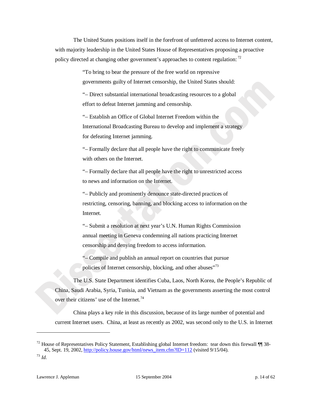The United States positions itself in the forefront of unfettered access to Internet content, with majority leadership in the United States House of Representatives proposing a proactive policy directed at changing other government's approaches to content regulation: 72

> "To bring to bear the pressure of the free world on repressive governments guilty of Internet censorship, the United States should:

> "– Direct substantial international broadcasting resources to a global effort to defeat Internet jamming and censorship.

"– Establish an Office of Global Internet Freedom within the International Broadcasting Bureau to develop and implement a strategy for defeating Internet jamming.

"– Formally declare that all people have the right to communicate freely with others on the Internet.

"– Formally declare that all people have the right to unrestricted access to news and information on the Internet.

"– Publicly and prominently denounce state-directed practices of restricting, censoring, banning, and blocking access to information on the Internet.

"– Submit a resolution at next year's U.N. Human Rights Commission annual meeting in Geneva condemning all nations practicing Internet censorship and denying freedom to access information.

"– Compile and publish an annual report on countries that pursue policies of Internet censorship, blocking, and other abuses"<sup>73</sup>

The U.S. State Department identifies Cuba, Laos, North Korea, the People's Republic of China, Saudi Arabia, Syria, Tunisia, and Vietnam as the governments asserting the most control over their citizens' use of the Internet.<sup>74</sup>

China plays a key role in this discussion, because of its large number of potential and current Internet users. China, at least as recently as 2002, was second only to the U.S. in Internet

-

<sup>&</sup>lt;sup>72</sup> House of Representatives Policy Statement, Establishing global Internet freedom: tear down this firewall  $\P$  38-45, Sept. 19, 2002, http://policy.house.gov/html/news\_item.cfm?ID=112 (visited 9/15/04). 73 *Id.*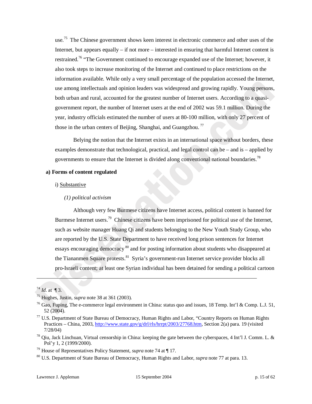use.<sup>75</sup> The Chinese government shows keen interest in electronic commerce and other uses of the Internet, but appears equally – if not more – interested in ensuring that harmful Internet content is restrained.<sup>76</sup> "The Government continued to encourage expanded use of the Internet; however, it also took steps to increase monitoring of the Internet and continued to place restrictions on the information available. While only a very small percentage of the population accessed the Internet, use among intellectuals and opinion leaders was widespread and growing rapidly. Young persons, both urban and rural, accounted for the greatest number of Internet users. According to a quasigovernment report, the number of Internet users at the end of 2002 was 59.1 million. During the year, industry officials estimated the number of users at 80-100 million, with only 27 percent of those in the urban centers of Beijing, Shanghai, and Guangzhou.<sup>77</sup>

Belying the notion that the Internet exists in an international space without borders, these examples demonstrate that technological, practical, and legal control can be – and is – applied by governments to ensure that the Internet is divided along conventional national boundaries.<sup>78</sup>

#### **a) Forms of content regulated**

# i) Substantive

#### *(1) political activism*

Although very few Burmese citizens have Internet access, political content is banned for Burmese Internet users.<sup>79</sup> Chinese citizens have been imprisoned for political use of the Internet, such as website manager Huang Qi and students belonging to the New Youth Study Group, who are reported by the U.S. State Department to have received long prison sentences for Internet essays encouraging democracy<sup>80</sup> and for posting information about students who disappeared at the Tiananmen Square protests.<sup>81</sup> Syria's government-run Internet service provider blocks all pro-Israeli content; at least one Syrian individual has been detained for sending a political cartoon

-

<sup>&</sup>lt;sup>74</sup> *Id.* at ¶ 3.<br><sup>75</sup> Hughes, Justin, *supra* note 38 at 361 (2003).<br><sup>76</sup> Gao, Fuping, The e-commerce legal environment in China: status quo and issues, 18 Temp. Int'l & Comp. L.J. 51, 52 (2004).<br><sup>77</sup> U.S. Department of State Bureau of Democracy, Human Rights and Labor, "Country Reports on Human Rights

Practices – China, 2003, http://www.state.gov/g/drl/rls/hrrpt/2003/27768.htm, Section 2(a) para. 19 (visited

<sup>7/28/04)&</sup>lt;br><sup>78</sup> Qiu, Jack Linchuan, Virtual censorship in China: keeping the gate between the cyberspaces, 4 Int'l J. Comm. L. & Pol'y 1, 2 (1999/2000).<br><sup>79</sup> House of Representatives Policy Statement, *supra* note 74 at ¶ 17.<br><sup>80</sup> U.S. Department of State Bureau of Democracy, Human Rights and Labor, *supra* note 77 at para. 13.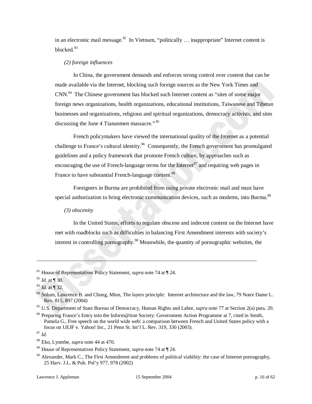in an electronic mail message. $82$  In Vietnam, "politically ... inappropriate" Internet content is blocked.<sup>83</sup>

# *(2) foreign influences*

In China, the government demands and enforces strong control over content that can be made available via the Internet, blocking such foreign sources as the New York Times and CNN.84 The Chinese government has blocked such Internet content as "sites of some major foreign news organizations, health organizations, educational institutions, Taiwanese and Tibetan businesses and organizations, religious and spiritual organizations, democracy activists, and sites discussing the June 4 Tiananmen massacre."<sup>85</sup>

French policymakers have viewed the international quality of the Internet as a potential challenge to France's cultural identity.<sup>86</sup> Consequently, the French government has promulgated guidelines and a policy framework that promote French culture, by approaches such as encouraging the use of French-language terms for the Internet  $\frac{87}{3}$  and requiring web pages in France to have substantial French-language content.<sup>88</sup>

Foreigners in Burma are prohibited from using private electronic mail and must have special authorization to bring electronic communication devices, such as modems, into Burma.<sup>89</sup>

*(3) obscenity* 

In the United States, efforts to regulate obscene and indecent content on the Internet have met with roadblocks such as difficulties in balancing First Amendment interests with society's interest in controlling pornography.<sup>90</sup> Meanwhile, the quantity of pornographic websites, the

<sup>81</sup> House of Representatives Policy Statement, *supra* note 74 at ¶ 24.

<sup>82</sup> *Id.* at ¶ 30.<br><sup>83</sup> *Id.* at ¶ 32.<br><sup>84</sup> Solum, Lawrence B. and Chung, Minn, The layers principle: Internet architecture and the law, 79 Notre Dame L. Rev. 815, 897 (2004)<br><sup>85</sup> U.S. Department of State Bureau of Democracy, Human Rights and Labor, *supra* note 77 at Section 2(a) para. 20.<br><sup>86</sup> Preparing France's Entry into the Inform@tion Society: Government Action Progra

Pamela G., Free speech on the world wide web: a comparison between French and United States policy with a focus on UEJF v. Yahoo! Inc., 21 Penn St. Int'l L. Rev. 319, 330 (2003). 87 *Id.*

<sup>88</sup> Eko, Lyombe, *supra* note 44 at 470.

<sup>89</sup> House of Representatives Policy Statement, *supra* note 74 at ¶ 24.

 $90$  Alexander, Mark C., The First Amendment and problems of political viability: the case of Internet pornography, 25 Harv. J.L. & Pub. Pol'y 977, 978 (2002)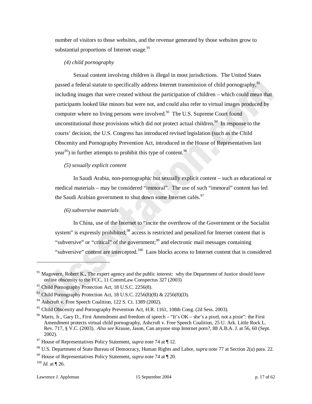number of visitors to those websites, and the revenue generated by those websites grow to substantial proportions of Internet usage. $91$ 

# *(4) child pornography*

Sexual content involving children is illegal in most jurisdictions. The United States passed a federal statute to specifically address Internet transmission of child pornography,<sup>92</sup> including images that were created without the participation of children – which could mean that participants looked like minors but were not, and could also refer to virtual images produced by computer where no living persons were involved.<sup>93</sup> The U.S. Supreme Court found unconstitutional those provisions which did not protect actual children.<sup>94</sup> In response to the courts' decision, the U.S. Congress has introduced revised legislation (such as the Child Obscenity and Pornography Prevention Act, introduced in the House of Representatives last year<sup>95</sup>) in further attempts to prohibit this type of content.<sup>96</sup>

#### *(5) sexually explicit content*

In Saudi Arabia, non-pornographic but sexually explicit content – such as educational or medical materials – may be considered "immoral". The use of such "immoral" content has led the Saudi Arabian government to shut down some Internet cafés.<sup>97</sup>

# *(6) subversive materials*

In China, use of the Internet to "incite the overthrow of the Government or the Socialist system" is expressly prohibited;<sup>98</sup> access is restricted and penalized for Internet content that is "subversive" or "critical" of the government;<sup>99</sup> and electronic mail messages containing "subversive" content are intercepted.<sup>100</sup> Laos blocks access to Internet content that is considered

 $\overline{a}$ 

 $91$  Magovern, Robert K., The expert agency and the public interest: why the Department of Justice should leave online obscenity to the FCC, 11 CommLaw Conspectus 327 (2003)

 $92$  Child Pornography Protection Act, 18 U.S.C. 2256(8).

 $93$  Child Pornography Protection Act, 18 U.S.C. 2256(8)(B) & 2256(8)(D).

 $94$  Ashcroft v. Free Speech Coalition, 122 S. Ct. 1389 (2002).

<sup>&</sup>lt;sup>95</sup> Child Obscenity and Pornography Prevention Act, H.R. 1161, 108th Cong. (2d Sess. 2003).

<sup>&</sup>lt;sup>96</sup> Marts, Jr., Gary D., First Amendment and freedom of speech – "It's  $OK$  – she's a pixel, not a pixie": the First Amendment protects virtual child pornography, Ashcroft v. Free Speech Coalition, 25 U. Ark. Little Rock L. Rev. 717, § V.C. (2003). *Also see* Krause, Jason, Can anyone stop Internet porn?, 88 A.B.A. J. at 56, 60 (Sept. 2002). 97 House of Representatives Policy Statement, *supra* note 74 at ¶ 12.

<sup>&</sup>lt;sup>98</sup> U.S. Department of State Bureau of Democracy, Human Rights and Labor, *supra* note 77 at Section 2(a) para. 22.<br><sup>99</sup> House of Representatives Policy Statement, *supra* note 74 at ¶ 20.<br><sup>100</sup> *Id.* at ¶ 26.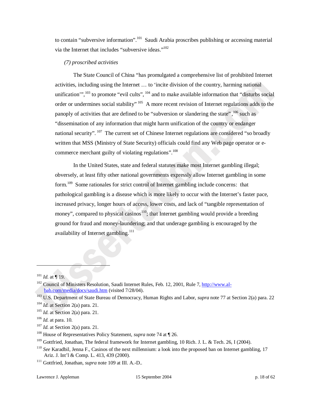to contain "subversive information".<sup>101</sup> Saudi Arabia proscribes publishing or accessing material via the Internet that includes "subversive ideas."<sup>102</sup>

#### *(7) proscribed activities*

The State Council of China "has promulgated a comprehensive list of prohibited Internet activities, including using the Internet … to 'incite division of the country, harming national unification",  $^{103}$  to promote "evil cults",  $^{104}$  and to make available information that "disturbs social order or undermines social stability" <sup>105</sup> A more recent revision of Internet regulations adds to the panoply of activities that are defined to be "subversion or slandering the state", <sup>106</sup> such as "dissemination of any information that might harm unification of the country or endanger national security".  $107$  The current set of Chinese Internet regulations are considered "so broadly written that MSS (Ministry of State Security) officials could find any Web page operator or ecommerce merchant guilty of violating regulations".<sup>108</sup>

In the United States, state and federal statutes make most Internet gambling illegal; obversely, at least fifty other national governments expressly allow Internet gambling in some form.<sup>109</sup> Some rationales for strict control of Internet gambling include concerns: that pathological gambling is a disease which is more likely to occur with the Internet's faster pace, increased privacy, longer hours of access, lower costs, and lack of "tangible representation of money", compared to physical casinos<sup>110</sup>; that Internet gambling would provide a breeding ground for fraud and money-laundering; and that underage gambling is encouraged by the availability of Internet gambling.<sup>111</sup>

<sup>&</sup>lt;sup>101</sup> *Id.* at ¶ 19.<br><sup>102</sup> Council of Ministers Resolution, Saudi Internet Rules, Feb. 12, 2001, Rule 7, http://www.albab.com/media/docs/saudi.htm (visited 7/28/04). 103 U.S. Department of State Bureau of Democracy, Human Rights and Labor, *supra* note 77 at Section 2(a) para. 22

<sup>&</sup>lt;sup>104</sup> *Id.* at Section 2(a) para. 21.<br><sup>105</sup> *Id.* at Section 2(a) para. 21.

<sup>&</sup>lt;sup>106</sup> *Id.* at para. 10.<br><sup>107</sup> *Id.* at Section 2(a) para. 21.<br><sup>108</sup> House of Representatives Policy Statement, *supra* note 74 at ¶ 26.

<sup>&</sup>lt;sup>109</sup> Gottfried, Jonathan, The federal framework for Internet gambling, 10 Rich. J. L. & Tech. 26, I (2004).<br><sup>110</sup> See Karadbil, Jenna F., Casinos of the next millennium: a look into the proposed ban on Internet gambling, Ariz. J. Int'l & Comp. L. 413, 439 (2000). 111 Gottfried, Jonathan, *supra* note 109 at III. A.-D..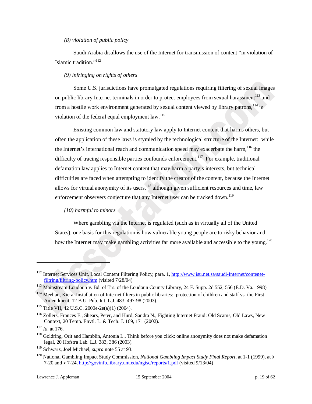# *(8) violation of public policy*

Saudi Arabia disallows the use of the Internet for transmission of content "in violation of Islamic tradition."112

#### *(9) infringing on rights of others*

Some U.S. jurisdictions have promulgated regulations requiring filtering of sexual images on public library Internet terminals in order to protect employees from sexual harassment<sup>113</sup> and from a hostile work environment generated by sexual content viewed by library patrons,<sup>114</sup> in violation of the federal equal employment law.<sup>115</sup>

Existing common law and statutory law apply to Internet content that harms others, but often the application of these laws is stymied by the technological structure of the Internet: while the Internet's international reach and communication speed may exacerbate the harm,<sup>116</sup> the difficulty of tracing responsible parties confounds enforcement.<sup>117</sup> For example, traditional defamation law applies to Internet content that may harm a party's interests, but technical difficulties are faced when attempting to identify the creator of the content, because the Internet allows for virtual anonymity of its users,  $118$  although given sufficient resources and time, law enforcement observers conjecture that any Internet user can be tracked down.<sup>119</sup>

# *(10) harmful to minors*

Where gambling via the Internet is regulated (such as in virtually all of the United States), one basis for this regulation is how vulnerable young people are to risky behavior and how the Internet may make gambling activities far more available and accessible to the young.<sup>120</sup>

<sup>&</sup>lt;sup>112</sup> Internet Services Unit, Local Content Filtering Policy, para. 1, http://www.isu.net.sa/saudi-Internet/contenet-

filtring/filtring-policy.htm (visited 7/28/04)<br><sup>113</sup> Mainstream Loudoun v. Bd. of Trs. of the Loudoun County Library, 24 F. Supp. 2d 552, 556 (E.D. Va. 1998)<br><sup>114</sup> Meehan, Kiera, Installation of Internet filters in public

Amendment, 12 B.U. Pub. Int. L.J. 483, 497-98 (2003).<br><sup>115</sup> Title VII, 42 U.S.C. 2000e-2e(a)(1) (2004).<br><sup>116</sup> Zollers, Frances E., Shears, Peter, and Hurd, Sandra N., Fighting Internet Fraud: Old Scams, Old Laws, New

Context, 20 Temp. Envtl. L. & Tech. J. 169, 171 (2002).<br><sup>117</sup> *Id.* at 176.<br><sup>118</sup> Goldring, Orit and Hamblin, Antonia L., Think before you click: online anonymity does not make defamation

legal, 20 Hofstra Lab. L.J. 383, 386 (2003).

<sup>119</sup> Schwarz, Joel Michael, *supra* note 55 at 93.

<sup>120</sup> National Gambling Impact Study Commission, *National Gambling Impact Study Final Report*, at 1-1 (1999), at § 7-20 and § 7-24, http://govinfo.library.unt.edu/ngisc/reports/1.pdf (visited 9/13/04)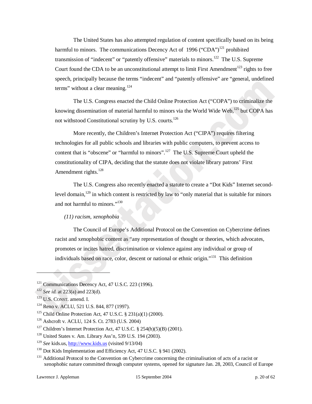The United States has also attempted regulation of content specifically based on its being harmful to minors. The communications Decency Act of 1996 ("CDA")<sup>121</sup> prohibited transmission of "indecent" or "patently offensive" materials to minors.<sup>122</sup> The U.S. Supreme Court found the CDA to be an unconstitutional attempt to limit First Amendment<sup>123</sup> rights to free speech, principally because the terms "indecent" and "patently offensive" are "general, undefined terms" without a clear meaning.<sup>124</sup>

The U.S. Congress enacted the Child Online Protection Act ("COPA") to criminalize the knowing dissemination of material harmful to minors via the World Wide Web,<sup>125</sup> but COPA has not withstood Constitutional scrutiny by U.S. courts.<sup>126</sup>

More recently, the Children's Internet Protection Act ("CIPA") requires filtering technologies for all public schools and libraries with public computers, to prevent access to content that is "obscene" or "harmful to minors".<sup>127</sup> The U.S. Supreme Court upheld the constitutionality of CIPA, deciding that the statute does not violate library patrons' First Amendment rights. $^{128}$ 

The U.S. Congress also recently enacted a statute to create a "Dot Kids" Internet secondlevel domain,<sup>129</sup> in which content is restricted by law to "only material that is suitable for minors" and not harmful to minors."<sup>130</sup>

# *(11) racism, xenophobia*

The Council of Europe's Additional Protocol on the Convention on Cybercrime defines racist and xenophobic content as "any representation of thought or theories, which advocates, promotes or incites hatred, discrimination or violence against any individual or group of individuals based on race, color, descent or national or ethnic origin."131 This definition

-

<sup>121</sup> Communications Decency Act, 47 U.S.C. 223 (1996). 122 *See id.* at 223(a) and 223(d).

<sup>&</sup>lt;sup>123</sup> U.S. CONST. amend. I.<br><sup>124</sup> Reno v. ACLU, 521 U.S. 844, 877 (1997).

<sup>&</sup>lt;sup>125</sup> Child Online Protection Act, 47 U.S.C. § 231(a)(1) (2000).<br><sup>126</sup> Ashcroft v. ACLU, 124 S. Ct. 2783 (U.S. 2004)

<sup>&</sup>lt;sup>127</sup> Children's Internet Protection Act, 47 U.S.C. § 254(h)(5)(B) (2001).<br><sup>128</sup> United States v. Am. Library Ass'n, 539 U.S. 194 (2003).

<sup>&</sup>lt;sup>129</sup> See kids.us, <u>http://www.kids.us</u> (visited 9/13/04)<br><sup>130</sup> Dot Kids Implementation and Efficiency Act, 47 U.S.C. § 941 (2002).<br><sup>131</sup> Additional Protocol to the Convention on Cybercrime concerning the criminalisation xenophobic nature committed through computer systems, opened for signature Jan. 28, 2003, Council of Europe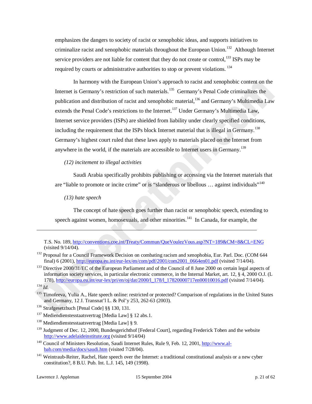emphasizes the dangers to society of racist or xenophobic ideas, and supports initiatives to criminalize racist and xenophobic materials throughout the European Union.<sup>132</sup> Although Internet service providers are not liable for content that they do not create or control, $^{133}$  ISPs may be required by courts or administrative authorities to stop or prevent violations. 134

In harmony with the European Union's approach to racist and xenophobic content on the Internet is Germany's restriction of such materials.<sup>135</sup> Germany's Penal Code criminalizes the publication and distribution of racist and xenophobic material,<sup>136</sup> and Germany's Multimedia Law extends the Penal Code's restrictions to the Internet.<sup>137</sup> Under Germany's Multimedia Law, Internet service providers (ISPs) are shielded from liability under clearly specified conditions, including the requirement that the ISPs block Internet material that is illegal in Germany.<sup>138</sup> Germany's highest court ruled that these laws apply to materials placed on the Internet from anywhere in the world, if the materials are accessible to Internet users in Germany.<sup>139</sup>

#### *(12) incitement to illegal activities*

Saudi Arabia specifically prohibits publishing or accessing via the Internet materials that are "liable to promote or incite crime" or is "slanderous or libellous ... against individuals"<sup>140</sup>

*(13) hate speech* 

The concept of hate speech goes further than racist or xenophobic speech, extending to speech against women, homosexuals, and other minorities.<sup>141</sup> In Canada, for example, the

-

T.S. No. 189, http://conventions.coe.int/Treaty/Commun/QueVoulezVous.asp?NT=189&CM=8&CL=ENG

<sup>(</sup>visited 9/14/04).<br><sup>132</sup> Proposal for a Council Framework Decision on combating racism and xenophobia, Eur. Parl. Doc. (COM 644<br>final) 6 (2001), http://europa.eu.int/eur-lex/en/com/pdf/2001/com2001 0664en01.pdf (visited 7/

<sup>&</sup>lt;sup>133</sup> Directive 2000/31/EC of the European Parliament and of the Council of 8 June 2000 on certain legal aspects of information society services, in particular electronic commerce, in the Internal Market, art. 12, § 4, 2000 O.J. (L 178), http://europa.eu.int/eur-lex/pri/en/oj/dat/2000/l\_178/l\_17820000717en00010016.pdf (visited 7/14/04). 134 *Id.*

<sup>&</sup>lt;sup>135</sup> Timofeeva, Yulia A., Hate speech online: restricted or protected? Comparison of regulations in the United States and Germany, 12 J. Transnat'l L. & Pol'y 253, 262-63 (2003).<br><sup>136</sup> Strafgesetzbuch [Penal Code] §§ 130, 131.<br><sup>137</sup> Mediendienstesstaatsvertrag [Media Law] § 12 abs.1.

<sup>&</sup>lt;sup>138</sup> Mediendienstesstaatsvertrag [Media Law] § 9.

<sup>&</sup>lt;sup>139</sup> Judgment of Dec. 12, 2000, Bundesgerichthof [Federal Court], regarding Frederick Toben and the website http://www.adelaideinstitute.org (visited 9/14/04)<br><sup>140</sup> Council of Ministers Resolution, Saudi Internet Rules, Rule 9, Feb. 12, 2001, http://www.al-

bab.com/media/docs/saudi.htm (visited 7/28/04).

<sup>&</sup>lt;sup>141</sup> Weintraub-Reiter, Rachel, Hate speech over the Internet: a traditional constitutional analysis or a new cyber constitution?, 8 B.U. Pub. Int. L.J. 145, 149 (1998).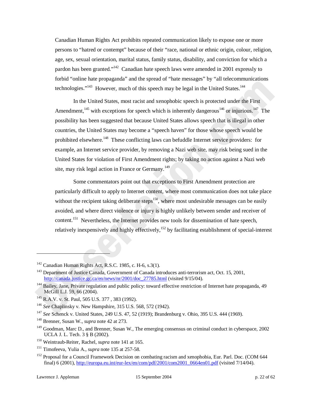Canadian Human Rights Act prohibits repeated communication likely to expose one or more persons to "hatred or contempt" because of their "race, national or ethnic origin, colour, religion, age, sex, sexual orientation, marital status, family status, disability, and conviction for which a pardon has been granted."<sup>142</sup> Canadian hate speech laws were amended in 2001 expressly to forbid "online hate propaganda" and the spread of "hate messages" by "all telecommunications technologies."<sup>143</sup> However, much of this speech may be legal in the United States.<sup>144</sup>

In the United States, most racist and xenophobic speech is protected under the First Amendment,  $145$  with exceptions for speech which is inherently dangerous<sup>146</sup> or injurious.<sup>147</sup> The possibility has been suggested that because United States allows speech that is illegal in other countries, the United States may become a "speech haven" for those whose speech would be prohibited elsewhere.<sup>148</sup> These conflicting laws can befuddle Internet service providers: for example, an Internet service provider, by removing a Nazi web site, may risk being sued in the United States for violation of First Amendment rights; by taking no action against a Nazi web site, may risk legal action in France or Germany.<sup>149</sup>

Some commentators point out that exceptions to First Amendment protection are particularly difficult to apply to Internet content, where most communication does not take place without the recipient taking deliberate steps<sup>150</sup>, where most undesirable messages can be easily avoided, and where direct violence or injury is highly unlikely between sender and receiver of content.<sup>151</sup> Nevertheless, the Internet provides new tools for dissemination of hate speech, relatively inexpensively and highly effectively,<sup>152</sup> by facilitating establishment of special-interest

 $\overline{a}$ 

<sup>&</sup>lt;sup>142</sup> Canadian Human Rights Act, R.S.C. 1985, c. H-6, s.3(1).<br><sup>143</sup> Department of Justice Canada, Government of Canada introduces anti-terrorism act, Oct. 15, 2001, http://canada.justice.gc.ca/en/news/nr/2001/doc\_27785.html (visited 9/15/04).

<sup>&</sup>lt;sup>144</sup> Bailey, Jane, Private regulation and public policy: toward effective restriction of Internet hate propaganda, 49 McGill L.J. 59, 66 (2004).

<sup>145</sup> R.A.V. v. St. Paul, 505 U.S. 377 , 383 (1992). 146 *See* Chaplinsky v. New Hampshire, 315 U.S. 568, 572 (1942).

<sup>147</sup> *See* Schenck v. United States, 249 U.S. 47, 52 (1919); Brandenburg v. Ohio, 395 U.S. 444 (1969). 148 Brenner, Susan W., *supra* note 42 at 273.

<sup>&</sup>lt;sup>149</sup> Goodman, Marc D., and Brenner, Susan W., The emerging consensus on criminal conduct in cyberspace, 2002 UCLA J. L. Tech. 3 § B (2002).

<sup>&</sup>lt;sup>150</sup> Weintraub-Reiter, Rachel, *supra* note 141 at 165.<br><sup>151</sup> Timofeeva, Yulia A., *supra* note 135 at 257-58.

<sup>&</sup>lt;sup>152</sup> Proposal for a Council Framework Decision on combating racism and xenophobia, Eur. Parl. Doc. (COM 644 final) 6 (2001), http://europa.eu.int/eur-lex/en/com/pdf/2001/com2001\_0664en01.pdf (visited 7/14/04).